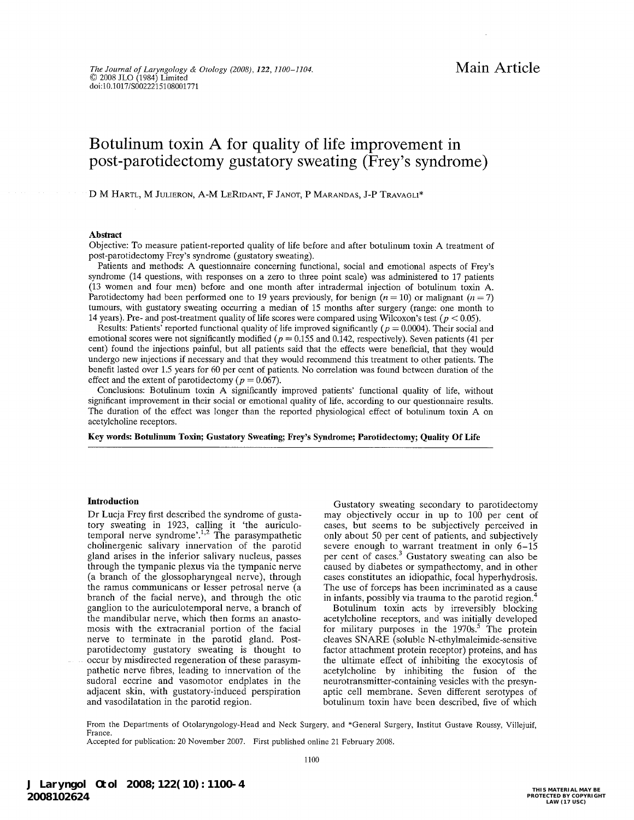# Botulinum toxin A for quality of life improvement in post-parotidectomy gustatory sweating (Frey's syndrome)

D M HARTL, M JULIERON, A-M LERIDANT, F JANOT, P MARANDAS, J-P TRAVAGLI\*

#### **Abstract**

Objective: To measure patient-reported quality of life before and after botulinum toxin A treatment of post-parotidectomy Frey's syndrome (gustatory sweating).

Patients and methods: A questionnaire concerning functional, social and emotional aspects of Frey's syndrome (14 questions, with responses on a zero to three point scale) was administered to 17 patients (13 women and four men) before and one month after intradermal injection of botulinum toxin A. Parotidectomy had been performed one to 19 years previously, for benign  $(n = 10)$  or malignant  $(n = 7)$ tumours, with gustatory sweating occurring a median of 15 months after surgery (range: one month to 14 years). Pre- and post-treatment quality of life scores were compared using Wilcoxon's test ( $p < 0.05$ ).

Results: Patients' reported functional quality of life improved significantly ( $p = 0.0004$ ). Their social and emotional scores were not significantly modified ( $p = 0.155$  and 0.142, respectively). Seven patients (41 per cent) found the injections painful, but all patients said that the effects were beneficial, that they would undergo new injections if necessary and that they would recommend this treatment to other patients. The benefit lasted over 1.5 years for 60 per cent of patients. No correlation was found between duration of the effect and the extent of parotidectomy ( $p = 0.067$ ).

Conclusions: Botulinum toxin A significantly improved patients' functional quality of life, without significant improvement in their social or emotional quality of life, according to our questionnaire results. The duration of the effect was longer than the reported physiological effect of botulinum toxin A on acetylcholine receptors.

**Key words: Botulinum Toxin; Gustatory Sweating; Frey's Syndrome; Parotidectomy; Quality Of Life** 

## **Introduction**

Dr Lucja Frey first described the syndrome of gustatory sweating in 1923, calling it 'the auriculotemporal nerve syndrome'.132 The parasympathetic cholinergenic salivary innervation of the parotid gland arises in the inferior salivary nucleus, passes through the tympanic plexus via the tympanic nerve (a branch of the glossopharyngeal nerve), through the ramus communicans or lesser petrosal nerve (a branch of the facial nerve), and through the otic ganglion to the auriculotemporal nerve, a branch of the mandibular nerve, which then forms an anastomosis with the extracranial portion of the facial nerve to terminate in the parotid gland. Postparotidectomy gustatory sweating is thought to occur by misdirected regeneration of these parasympathetic nerve fibres, leading to innervation of the sudoral eccrine and vasomotor endplates in the adjacent skin, with gustatory-induced perspiration and vasodilatation in the parotid region.

Gustatory sweating secondary to parotidectomy may objectively occur in up to 100 per cent of cases, but seems to be subjectively perceived in only about 50 per cent of patients, and subjectively severe enough to warrant treatment in only 6-15 per cent of cases.<sup>3</sup> Gustatory sweating can also be caused by diabetes or sympathectomy, and in other cases constitutes an idiopathic, focal hyperhydrosis. The use of forceps has been incriminated as a cause in infants, possibly via trauma to the parotid region.4

Botulinum toxin acts by irreversibly blocking acetylcholine receptors, and was initially developed for military purposes in the 1970s.<sup>5</sup> The protein cleaves SNARE (soluble N-ethylrnaleimide-sensitive factor attachment protein receptor) proteins, and has the ultimate effect of inhibiting the exocytosis of acetylcholine by inhibiting the fusion of the neurotransmitter-containing vesicles with the presynaptic cell membrane. Seven different serotypes of botulinum toxin have been described, five of which

From the Departments of Otolaryngology-Head and Neck Surgery, and \*General Surgery, Institut Gustave Roussy, Villejuif, France. Accepted for publication: 20 November 2007. First published online 21 February 2008.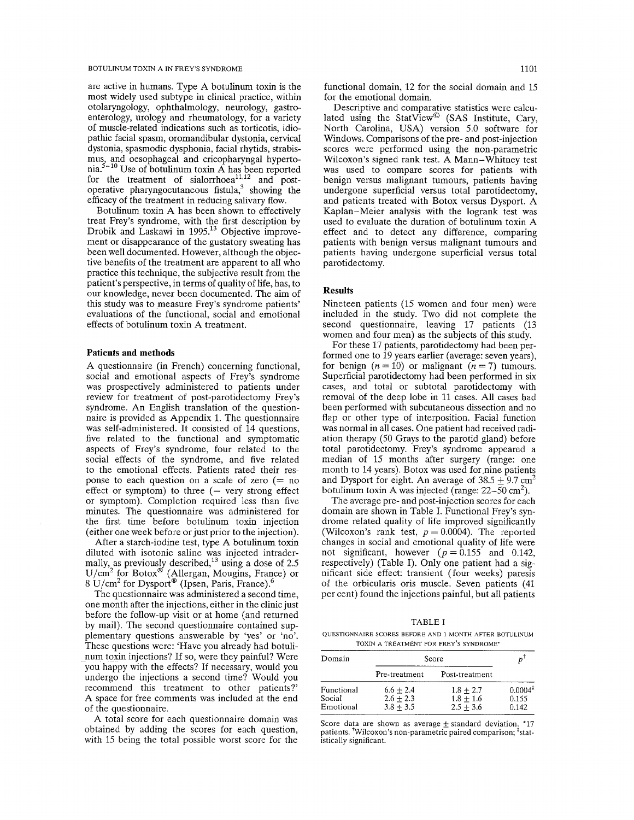are active in humans. Type A botulinum toxin is the most widely used subtype in clinical practice, within otolaryngology, ophthalmology, neurology, gastroenterology, urology and rheumatology, for a variety of muscle-related indications such as torticotis, idiopathic facial spasm, oromandibular dystonia, cervical dystonia, spasmodic dysphonia, facial rhytids, strabismus, and oesophageal and cricopharyngal hypertonia.<sup>5-10</sup> Use of botulinum toxin A has been reported for the treatment of sialorrhoea<sup>11,12</sup> and postoperative pharyngocutaneous fistula, $3$  showing the efficacy of the treatment in reducing salivary flow.

Botulinum toxin A has been shown to effectively treat Frey's syndrome, with the first description by Drobik and Laskawi in 1995.<sup>13</sup> Objective improvement or disappearance of the gustatory sweating has been well documented. However, although the objective benefits of the treatment are apparent to all who practice this technique, the subjective result from the patient's perspective, in terms of quality of life, has, to our knowledge, never been documented. The aim of this study was to measure Frey's syndrome patients' evaluations of the functional, social and emotional effects of botulinum toxin A treatment.

#### **Patients and methods**

A questionnaire (in French) concerning functional, social and emotional aspects of Frey's syndrome was prospectively administered to patients under review for treatment of post-parotidectomy Frey's syndrome. An English translation of the questionnaire is provided as Appendix 1. The questionnaire was self-administered. It consisted of 14 questions, five related to the functional and symptomatic aspects of Frey's syndrome, four related to the social effects of the syndrome, and five related to the emotional effects. Patients rated their response to each question on a scale of zero  $(=$  no effect or symptom) to three  $($  = very strong effect or symptom). Completion required less than five minutes. The questionnaire was administered for the first time before botulinum toxin injection (either one week before or just prior to the injection).

After a starch-iodine test, type A botulinum toxin diluted with isotonic saline was injected intrader-<br>mally, as previously described,<sup>13</sup> using a dose of 2.5<br>U/cm<sup>2</sup> for Botox<sup>®</sup> (Allergan, Mougins, France) or 8 U/cm<sup>2</sup> for Dysport<sup>®</sup> (Ipsen, Paris, France).

The questionnaire was administered a second time, one month after the injections, either in the clinic just before the follow-up visit or at home (and returned by mail). The second questionnaire contained supplementary questions answerable by 'yes' or 'no'. These questions were: 'Have you already had botulinum toxin injections? If so, were they painful? Were you happy with the effects? If necessary, would you undergo the injections a second time? Would you recommend this treatment to other patients?' A space for free comments was included at the end of the questionnaire.

A total score for each questionnaire domain was obtained by adding the scores for each question, with 15 being the total possible worst score for the functional domain, 12 for the social domain and 15 for the emotional domain.

Descriptive and comparative statistics were calculated using the StatView<sup>©</sup> (SAS Institute, Cary, North Carolina, USA) version 5.0 software for Windows. Comparisons of the pre- and post-injection scores were performed using the non-parametric Wilcoxon's signed rank test. A Mann-Whitney test was used to compare scores for patients with benign versus malignant tumours, patients having undergone superficial versus total parotidectomy, and patients treated with Botox versus Dysport. A Kaplan-Meier analysis with the logrank test was used to evaluate the duration of botulinum toxin A effect and to detect any difference, comparing patients with benign versus malignant tumours and patients having undergone superficial versus total parotidectomy.

# **Results**

Nineteen patients (15 women and four men) were included in the study. Two did not complete the second questionnaire, leaving 17 patients (13 women and four men) as the subjects of this study.

For these 17 patients, parotidectomy had been performed one to 19 years earlier (average: seven years), for benign  $(n = 10)$  or malignant  $(n = 7)$  tumours. Superficial parotidectomy had been performed in six cases, and total or subtotal parotidectomy with removal of the deep lobe in 11 cases. All cases had been performed with subcutaneous dissection and no flap or other type of interposition. Facial function was normal in all cases. One patient had received radiation therapy (50 Grays to the parotid gland) before total parotidectomy. Frey's syndrome appeared a median of 15 months after surgery (range: one month to 14 years). Botox was used for nine patients and Dysport for eight. An average of  $38.5 \pm 9.7$  cm<sup>2</sup> botulinum toxin A was injected (range:  $22-50$  cm<sup>2</sup>).

The average pre- and post-injection scores for each domain are shown in Table I. Functional Frey's syndrome related quality of life improved significantly (Wilcoxon's rank test,  $p = 0.0004$ ). The reported changes in social and emotional quality of life were not significant, however  $(p = 0.155$  and 0.142, respectively) (Table I). Only one patient had a significant side effect: transient (four weeks) paresis of the orbicularis oris muscle. Seven patients (41 per cent) found the injections painful, but all patients

**TABLE I** 

QUESTIONNAIRE SCORES BEFORE AND 1 MONTH AFTER BOTULINUM TOXIN A TREATMENT FOR FREY'S SYNDROME\*

| Domain                            | Score                                     |                                           | n                           |
|-----------------------------------|-------------------------------------------|-------------------------------------------|-----------------------------|
|                                   | Pre-treatment                             | Post-treatment                            |                             |
| Functional<br>Social<br>Emotional | $6.6 + 2.4$<br>$2.6 + 2.3$<br>$3.8 + 3.5$ | $1.8 + 2.7$<br>$1.8 + 1.6$<br>$2.5 + 3.6$ | $0.0004*$<br>0.155<br>0.142 |

Score data are shown as average  $\pm$  standard deviation. \*17 patients. <sup>†</sup>Wilcoxon's non-parametric paired comparison; <sup>‡</sup>statistically significant.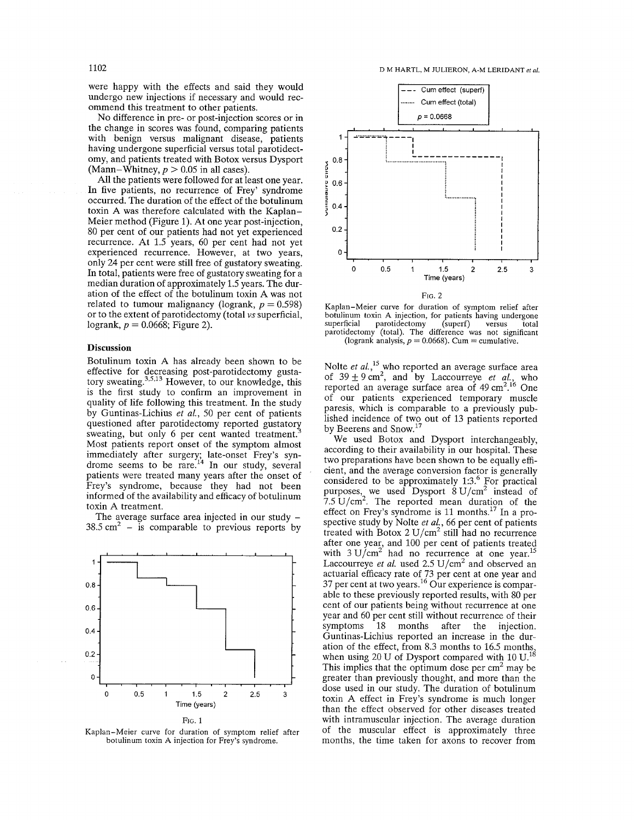were happy with the effects and said they would undergo new injections if necessary and would recommend this treatment to other patients.

No difference in pre- or post-injection scores or in the change in scores was found, comparing patients with benign versus malignant disease, patients having undergone superficial versus total parotidectomy, and patients treated with Botox versus Dysport (Mann-Whitney,  $p > 0.05$  in all cases).

All the patients were followed for at least one year. In five patients, no recurrence of Frey' syndrome occurred. The duration of the effect of the botulinum toxin A was therefore calculated with the Kaplan-Meier method (Figure 1). At one year post-injection, 80 per cent of our patients had not yet experienced recurrence. At 1.5 years, 60 per cent had not yet experienced recurrence. However, at two years, only 24 per cent were still free of gustatory sweating. In total, patients were free of gustatory sweating for a median duration of approximately 1.5 years. The duration of the effect of the botulinum toxin A was not related to tumour malignancy (logrank,  $p = 0.598$ ) or to the extent of parotidectomy (total vs superficial, logrank,  $p = 0.0668$ ; Figure 2).

### **Discussion**

Botulinum toxin A has already been shown to be effective for decreasing post-parotidectomy gustatory sweating.<sup>3,5,13</sup> However, to our knowledge, this is the first study to confirm an improvement in quality of life following this treatment. In the study by Guntinas-Lichius et al., 50 per cent of patients questioned after parotidectomy reported gustatory sweating, but only 6 per cent wanted treatment.<sup>3</sup> Most patients report onset of the symptom almost immediately after surgery; late-onset Frey's syn-<br>drome seems to be rare.<sup>14</sup> In our study, several patients were treated many years after the onset of Frey's syndrome, because they had not been informed of the availability and efficacy of botulinum toxin A treatment.

The average surface area injected in our study - $38.5 \text{ cm}^2$  – is comparable to previous reports by



 $Fig. 1$ 

Kaplan-Meier curve for duration of symptom relief after botulinum toxin A injection for Frey's syndrome.



Kaplan-Meier curve for duration of symptom relief after botulinum toxin A injection, for patients having undergone superficial parotidectomy (superf) versus total parotidectomy (total). The difference was not significant (logrank analysis,  $p = 0.0668$ ). Cum = cumulative.

Nolte et  $al$ ,<sup>15</sup> who reported an average surface area of  $39 \pm 9$  cm<sup>2</sup>, and by Laccourreye *et al.*, who<br>reported an average surface area of  $49 \text{ cm}^2$ .<sup>16</sup> One of our patients experienced temporary muscle paresis, which is comparable to a previously published incidence of two out of 13 patients reported by Beerens and Snow.<sup>17</sup>

We used Botox and Dysport interchangeably, according to their availability in our hospital. These two preparations have been shown to be equally efficient, and the average conversion factor is generally considered to be approximately  $1:3.^6$  For practical<br>purposes, we used Dysport  $8 \text{ U/cm}^2$  instead of  $7.5 \text{ U/cm}^2$ . The reported mean duration of the effect on Frey's syndrome is 11 months.<sup>17</sup> In a prospective study by Nolte et al., 66 per cent of patients treated with Botox  $2 U/cm<sup>2</sup>$  still had no recurrence after one year, and 100 per cent of patients treated with  $3 \text{ U/cm}^2$  had no recurrence at one year.<sup>15</sup> Laccourreye et al. used 2.5 U/cm<sup>2</sup> and observed an actuarial efficacy rate of 73 per cent at one year and 37 per cent at two years.<sup>16</sup> Our experience is comparable to these previously reported results, with 80 per cent of our patients being without recurrence at one year and 60 per cent still without recurrence of their symptoms 18 months after the injection. Guntinas-Lichius reported an increase in the duration of the effect, from 8.3 months to 16.5 months, when using 20 U of Dysport compared with  $10 U<sup>1</sup>$ This implies that the optimum dose per  $\text{cm}^2$  may be greater than previously thought, and more than the<br>dose used in our study. The duration of botulinum toxin A effect in Frey's syndrome is much longer than the effect observed for other diseases treated with intramuscular injection. The average duration of the muscular effect is approximately three months, the time taken for axons to recover from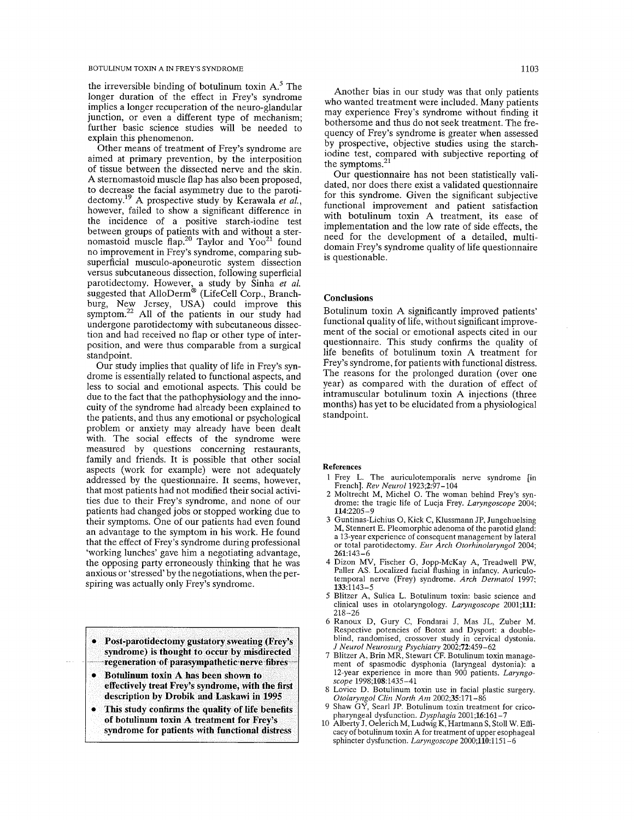the irreversible binding of botulinum toxin  $A$ <sup>5</sup>. The longer duration of the effect in Frey's syndrome implies a longer recuperation of the neuro-glandular junction, or even a different type of mechanism; further basic science studies will be needed to explain this phenomenon.

Other means of treatment of Frey's syndrome are aimed at primary prevention, by the interposition of tissue between the dissected nerve and the skin. A sternomastoid muscle flap has also been proposed, to decrease the facial asymmetry due to the parotidectomy.<sup>19</sup> A prospective study by Kerawala et al., however, failed to show a significant difference in the incidence of a positive starch-iodine test between groups of patients with and without a sternomastoid muscle flap.<sup>20</sup> Taylor and Yoo<sup>21</sup> found no improvement in Frey's syndrome, comparing subsuperficial musculo-aponeurotic system dissection versus subcutaneous dissection, following superficial parotidectomy. However, a study by Sinha et al.<br>suggested that AlloDerm® (LifeCell Corp., Branchburg, New Jersey, USA) could improve this symptom.<sup>22</sup> All of the patients in our study had undergone parotidectomy with subcutaneous dissection and had received no flap or other type of interposition, and were thus comparable from a surgical standpoint.

Our study implies that quality of life in Frey's syndrome is essentially related to functional aspects, and less to social and emotional aspects. This could be due to the fact that the pathophysiology and the innocuity of the syndrome had already been explained to the patients, and thus any emotional or psychological problem or anxiety may already have been dealt with. The social effects of the syndrome were measured by questions concerning restaurants, family and friends. It is possible that other social aspects (work for example) were not adequately addressed by the questionnaire. It seems, however, that most patients had not modified their social activities due to their Frey's syndrome, and none of our patients had changed jobs or stopped working due to their symptoms. One of our patients had even found an advantage to the symptom in his work. He found that the effect of Frey's syndrome during professional 'working lunches' gave him a negotiating advantage, the opposing party erroneously thinking that he was anxious or 'stressed' by the negotiations, when the perspiring was actually only Frey's syndrome.

- Post-parotidectomy gustatory sweating (Frey's syndrome) is thought to occur by misdirected regeneration of parasympathetic nerve fibres
- Botulinum toxin A has been shown to effectively treat Frey's syndrome, with the first description by Drobik and Laskawi in 1995
- This study confirms the quality of life benefits of botulinum toxin A treatment for Frey's syndrome for patients with functional distress

Another bias in our study was that only patients who wanted treatment were included. Many patients may experience Frey's syndrome without finding it bothersome and thus do not seek treatment. The frequency of Frey's syndrome is greater when assessed by prospective, objective studies using the starchiodine test, compared with subjective reporting of the symptoms. $<sup>2</sup>$ </sup>

Our questionnaire has not been statistically validated, nor does there exist a validated questionnaire for this syndrome. Given the significant subjective functional improvement and patient satisfaction with botulinum toxin A treatment, its ease of implementation and the low rate of side effects, the need for the development of a detailed, multidomain Frey's syndrome quality of life questionnaire is questionable.

#### Conclusions

Botulinum toxin A significantly improved patients' functional quality of life, without significant improvement of the social or emotional aspects cited in our questionnaire. This study confirms the quality of life benefits of botulinum toxin A treatment for Frey's syndrome, for patients with functional distress. The reasons for the prolonged duration (over one year) as compared with the duration of effect of intramuscular botulinum toxin A injections (three months) has yet to be elucidated from a physiological standpoint.

#### References

- 1 Frey L. The auriculotemporalis nerve syndrome [in French]. Rev Neurol 1923;2:97-104
- 2 Moltrecht M, Michel O. The woman behind Frey's syndrome: the tragic life of Lucja Frey. Laryngoscope 2004;  $114:2205 - 9$
- 3 Guntinas-Lichius O, Kick C, Klussmann JP, Jungehuelsing M, Stennert E. Pleomorphic adenoma of the parotid gland: a 13-year experience of consequent management by lateral or total parotidectomy. Eur Arch Otorhinolaryngol 2004;  $261:143-6$
- 4 Dizon MV, Fischer G, Jopp-McKay A, Treadwell PW, Paller AS. Localized facial flushing in infancy. Auriculotemporal nerve (Frey) syndrome. Arch Dermatol 1997;  $133:1143-5$
- 5 Blitzer A, Sulica L. Botulinum toxin: basic science and clinical uses in otolaryngology. Laryngoscope 2001;111:  $218 - 26$
- 6 Ranoux D, Gury C, Fondarai J, Mas JL, Zuber M. Respective potencies of Botox and Dysport: a doubleblind, randomised, crossover study in cervical dystonia. J Neurol Neurosurg Psychiatry 2002;72:459-62<br>7 Blitzer A, Brin MR, Stewart CF. Botulinum toxin manage-
- ment of spasmodic dysphonia (laryngeal dystonia). a 12-year experience in more than 900 patients. Laryngoscope 1998;108:1435-41
- 8 Lovice D. Botulinum toxin use in facial plastic surgery. Otolaryngol Clin North Am 2002;35:171-86
- 9 Shaw GY, Searl JP. Botulinum toxin treatment for cricopharyngeal dysfunction. Dysphagia 2001;16:161-
- 10 Alberty J, Oelerich M, Ludwig K, Hartmann S, Stoll W. Efficacy of botulinum toxin A for treatment of upper esophageal sphincter dysfunction. Laryngoscope 2000;110:1151-6